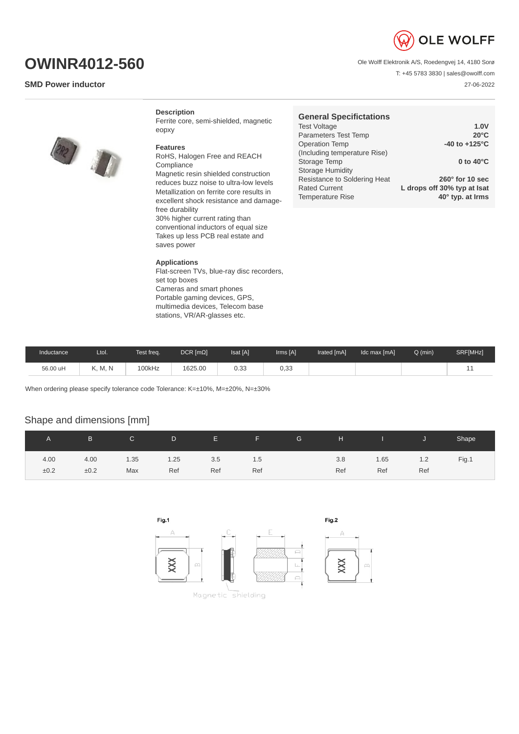

Ole Wolff Elektronik A/S, Roedengvej 14, 4180 Sorø

T: +45 5783 3830 | sales@owolff.com 27-06-2022

# **OWINR4012-560**

### **SMD Power inductor**



#### **Description**

Ferrite core, semi-shielded, magnetic eopxy

#### **Features**

RoHS, Halogen Free and REACH Compliance Magnetic resin shielded construction reduces buzz noise to ultra-low levels Metallization on ferrite core results in excellent shock resistance and damagefree durability 30% higher current rating than conventional inductors of equal size Takes up less PCB real estate and saves power

#### **Applications**

Flat-screen TVs, blue-ray disc recorders, set top boxes Cameras and smart phones Portable gaming devices, GPS, multimedia devices, Telecom base stations, VR/AR-glasses etc.

| 1.0V                        |
|-----------------------------|
| $20^{\circ}$ C              |
| $-40$ to $+125^{\circ}$ C   |
|                             |
| 0 to $40^{\circ}$ C         |
|                             |
| $260^\circ$ for 10 sec      |
| L drops off 30% typ at Isat |
| 40° typ. at Irms            |
|                             |

| Inductance | ∟tol.   | Test freq. | $DCR$ [ $m\Omega$ ] | Isat [A] | Irms [A] | Irated [mA] | Idc max [mA] | $Q$ (min) | SRF[MHz] |
|------------|---------|------------|---------------------|----------|----------|-------------|--------------|-----------|----------|
| 56.00 uH   | K. M. N | 100kHz     | 1625.00             | 0.33     | 0.33     |             |              |           | --       |

When ordering please specify tolerance code Tolerance: K=±10%, M=±20%, N=±30%

## Shape and dimensions [mm]

|      | B.   | $\mathsf{C}$ | D    | E.  | F.  | G | H   | and the state of the state | IJ  | Shape |
|------|------|--------------|------|-----|-----|---|-----|----------------------------|-----|-------|
| 4.00 | 4.00 | 1.35         | 1.25 | 3.5 | 1.5 |   | 3.8 | 1.65                       | 1.2 | Fig.1 |
| ±0.2 | ±0.2 | Max          | Ref  | Ref | Ref |   | Ref | Ref                        | Ref |       |